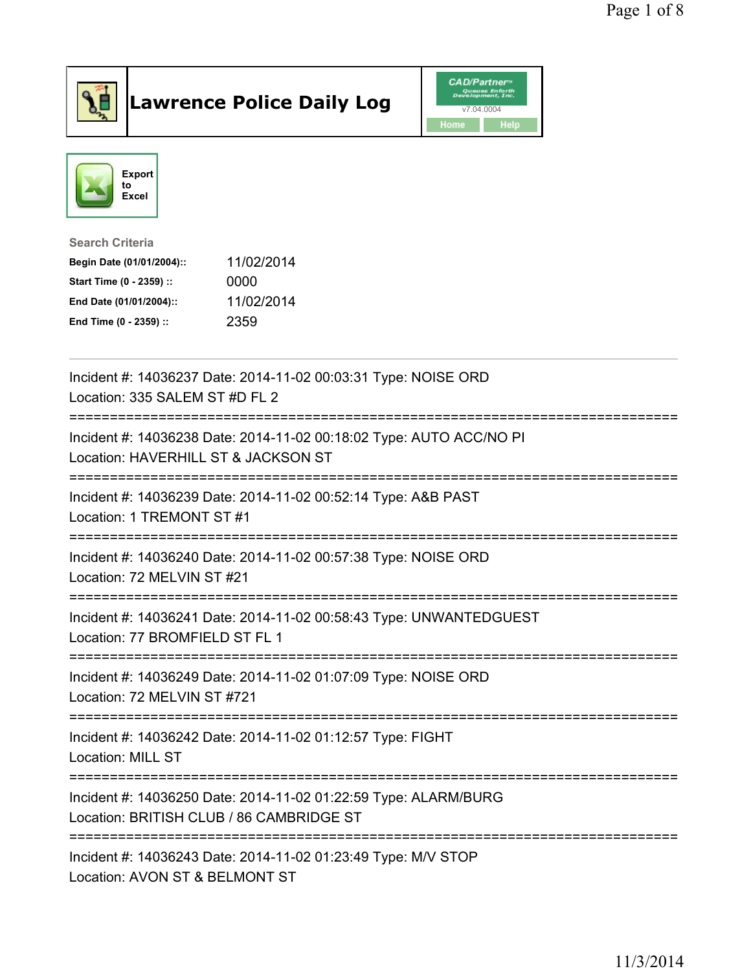

## Lawrence Police Daily Log **Daniel CAD/Partner**





## Search Criteria Begin Date (01/01/2004):: 11/02/2014 Start Time (0 - 2359) :: 0000 End Date (01/01/2004):: 11/02/2014 End Time (0 - 2359) :: 2359

| Incident #: 14036237 Date: 2014-11-02 00:03:31 Type: NOISE ORD<br>Location: 335 SALEM ST #D FL 2<br>----------------------------- |
|-----------------------------------------------------------------------------------------------------------------------------------|
| Incident #: 14036238 Date: 2014-11-02 00:18:02 Type: AUTO ACC/NO PI<br>Location: HAVERHILL ST & JACKSON ST                        |
| Incident #: 14036239 Date: 2014-11-02 00:52:14 Type: A&B PAST<br>Location: 1 TREMONT ST #1                                        |
| Incident #: 14036240 Date: 2014-11-02 00:57:38 Type: NOISE ORD<br>Location: 72 MELVIN ST #21                                      |
| Incident #: 14036241 Date: 2014-11-02 00:58:43 Type: UNWANTEDGUEST<br>Location: 77 BROMFIELD ST FL 1                              |
| Incident #: 14036249 Date: 2014-11-02 01:07:09 Type: NOISE ORD<br>Location: 72 MELVIN ST #721                                     |
| Incident #: 14036242 Date: 2014-11-02 01:12:57 Type: FIGHT<br>Location: MILL ST                                                   |
| Incident #: 14036250 Date: 2014-11-02 01:22:59 Type: ALARM/BURG<br>Location: BRITISH CLUB / 86 CAMBRIDGE ST                       |
| Incident #: 14036243 Date: 2014-11-02 01:23:49 Type: M/V STOP<br>Location: AVON ST & BELMONT ST                                   |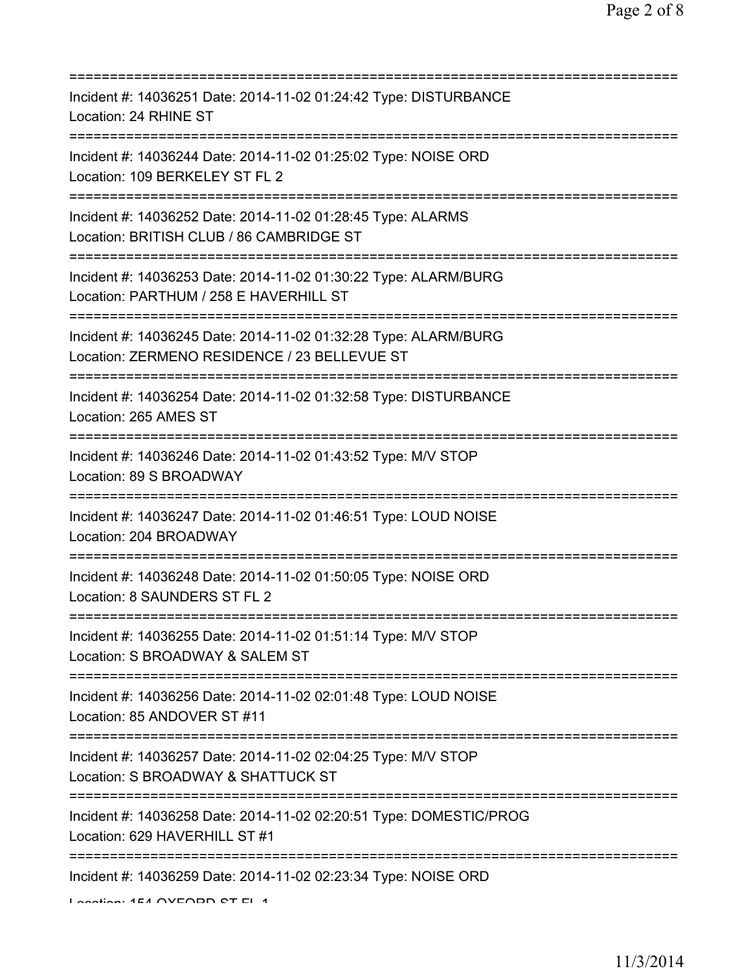| Incident #: 14036251 Date: 2014-11-02 01:24:42 Type: DISTURBANCE<br>Location: 24 RHINE ST                       |
|-----------------------------------------------------------------------------------------------------------------|
| Incident #: 14036244 Date: 2014-11-02 01:25:02 Type: NOISE ORD<br>Location: 109 BERKELEY ST FL 2                |
| Incident #: 14036252 Date: 2014-11-02 01:28:45 Type: ALARMS<br>Location: BRITISH CLUB / 86 CAMBRIDGE ST         |
| Incident #: 14036253 Date: 2014-11-02 01:30:22 Type: ALARM/BURG<br>Location: PARTHUM / 258 E HAVERHILL ST       |
| Incident #: 14036245 Date: 2014-11-02 01:32:28 Type: ALARM/BURG<br>Location: ZERMENO RESIDENCE / 23 BELLEVUE ST |
| Incident #: 14036254 Date: 2014-11-02 01:32:58 Type: DISTURBANCE<br>Location: 265 AMES ST                       |
| Incident #: 14036246 Date: 2014-11-02 01:43:52 Type: M/V STOP<br>Location: 89 S BROADWAY                        |
| Incident #: 14036247 Date: 2014-11-02 01:46:51 Type: LOUD NOISE<br>Location: 204 BROADWAY                       |
| Incident #: 14036248 Date: 2014-11-02 01:50:05 Type: NOISE ORD<br>Location: 8 SAUNDERS ST FL 2                  |
| Incident #: 14036255 Date: 2014-11-02 01:51:14 Type: M/V STOP<br>Location: S BROADWAY & SALEM ST                |
| Incident #: 14036256 Date: 2014-11-02 02:01:48 Type: LOUD NOISE<br>Location: 85 ANDOVER ST #11                  |
| Incident #: 14036257 Date: 2014-11-02 02:04:25 Type: M/V STOP<br>Location: S BROADWAY & SHATTUCK ST             |
| Incident #: 14036258 Date: 2014-11-02 02:20:51 Type: DOMESTIC/PROG<br>Location: 629 HAVERHILL ST #1             |
| Incident #: 14036259 Date: 2014-11-02 02:23:34 Type: NOISE ORD<br>Lootion: 4E4 OVEODD OT EL 4                   |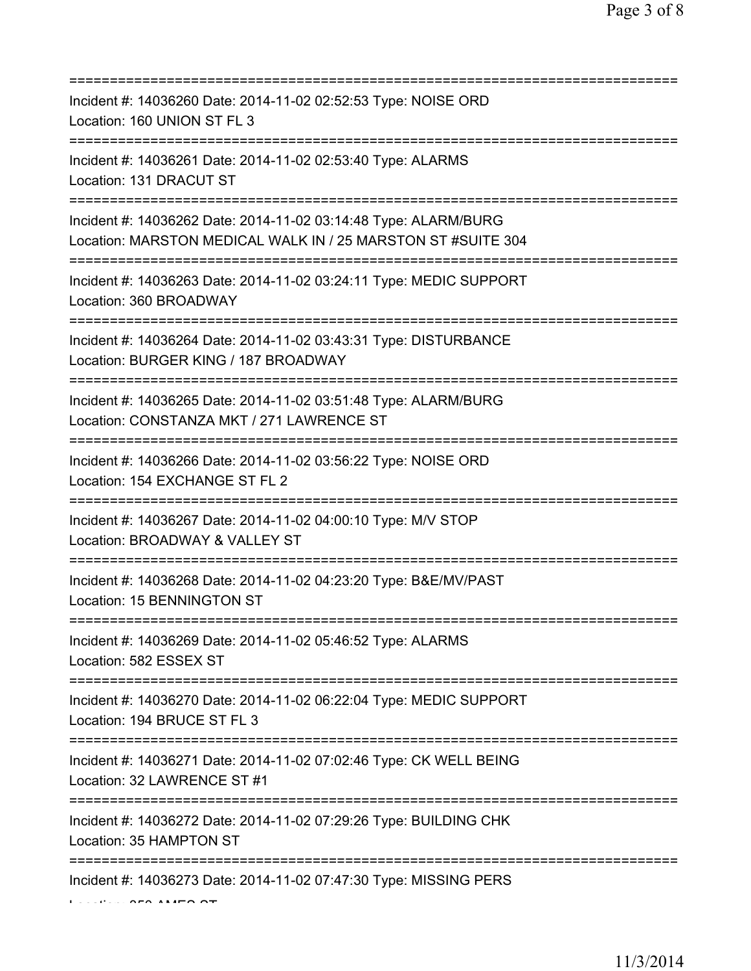| Incident #: 14036260 Date: 2014-11-02 02:52:53 Type: NOISE ORD<br>Location: 160 UNION ST FL 3                                         |
|---------------------------------------------------------------------------------------------------------------------------------------|
| Incident #: 14036261 Date: 2014-11-02 02:53:40 Type: ALARMS<br>Location: 131 DRACUT ST                                                |
| Incident #: 14036262 Date: 2014-11-02 03:14:48 Type: ALARM/BURG<br>Location: MARSTON MEDICAL WALK IN / 25 MARSTON ST #SUITE 304       |
| Incident #: 14036263 Date: 2014-11-02 03:24:11 Type: MEDIC SUPPORT<br>Location: 360 BROADWAY<br>===================================== |
| Incident #: 14036264 Date: 2014-11-02 03:43:31 Type: DISTURBANCE<br>Location: BURGER KING / 187 BROADWAY                              |
| Incident #: 14036265 Date: 2014-11-02 03:51:48 Type: ALARM/BURG<br>Location: CONSTANZA MKT / 271 LAWRENCE ST<br>===================   |
| Incident #: 14036266 Date: 2014-11-02 03:56:22 Type: NOISE ORD<br>Location: 154 EXCHANGE ST FL 2                                      |
| Incident #: 14036267 Date: 2014-11-02 04:00:10 Type: M/V STOP<br>Location: BROADWAY & VALLEY ST                                       |
| Incident #: 14036268 Date: 2014-11-02 04:23:20 Type: B&E/MV/PAST<br>Location: 15 BENNINGTON ST                                        |
| Incident #: 14036269 Date: 2014-11-02 05:46:52 Type: ALARMS<br>Location: 582 ESSEX ST                                                 |
| Incident #: 14036270 Date: 2014-11-02 06:22:04 Type: MEDIC SUPPORT<br>Location: 194 BRUCE ST FL 3                                     |
| Incident #: 14036271 Date: 2014-11-02 07:02:46 Type: CK WELL BEING<br>Location: 32 LAWRENCE ST #1                                     |
| Incident #: 14036272 Date: 2014-11-02 07:29:26 Type: BUILDING CHK<br>Location: 35 HAMPTON ST                                          |
| Incident #: 14036273 Date: 2014-11-02 07:47:30 Type: MISSING PERS                                                                     |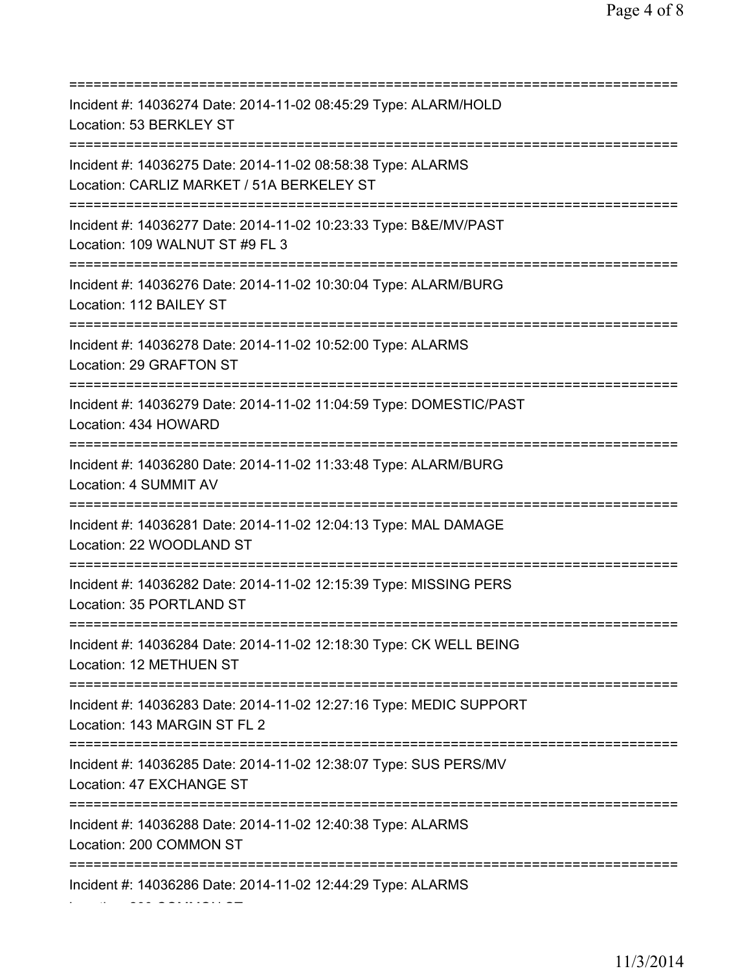=========================================================================== Incident #: 14036274 Date: 2014-11-02 08:45:29 Type: ALARM/HOLD Location: 53 BERKLEY ST =========================================================================== Incident #: 14036275 Date: 2014-11-02 08:58:38 Type: ALARMS Location: CARLIZ MARKET / 51A BERKELEY ST =========================================================================== Incident #: 14036277 Date: 2014-11-02 10:23:33 Type: B&E/MV/PAST Location: 109 WALNUT ST #9 FL 3 =========================================================================== Incident #: 14036276 Date: 2014-11-02 10:30:04 Type: ALARM/BURG Location: 112 BAILEY ST =========================================================================== Incident #: 14036278 Date: 2014-11-02 10:52:00 Type: ALARMS Location: 29 GRAFTON ST =========================================================================== Incident #: 14036279 Date: 2014-11-02 11:04:59 Type: DOMESTIC/PAST Location: 434 HOWARD =========================================================================== Incident #: 14036280 Date: 2014-11-02 11:33:48 Type: ALARM/BURG Location: 4 SUMMIT AV =========================================================================== Incident #: 14036281 Date: 2014-11-02 12:04:13 Type: MAL DAMAGE Location: 22 WOODLAND ST =========================================================================== Incident #: 14036282 Date: 2014-11-02 12:15:39 Type: MISSING PERS Location: 35 PORTLAND ST =========================================================================== Incident #: 14036284 Date: 2014-11-02 12:18:30 Type: CK WELL BEING Location: 12 METHUEN ST =========================================================================== Incident #: 14036283 Date: 2014-11-02 12:27:16 Type: MEDIC SUPPORT Location: 143 MARGIN ST FL 2 =========================================================================== Incident #: 14036285 Date: 2014-11-02 12:38:07 Type: SUS PERS/MV Location: 47 EXCHANGE ST =========================================================================== Incident #: 14036288 Date: 2014-11-02 12:40:38 Type: ALARMS Location: 200 COMMON ST =========================================================================== Incident #: 14036286 Date: 2014-11-02 12:44:29 Type: ALARMS Location: 200 COMMON ST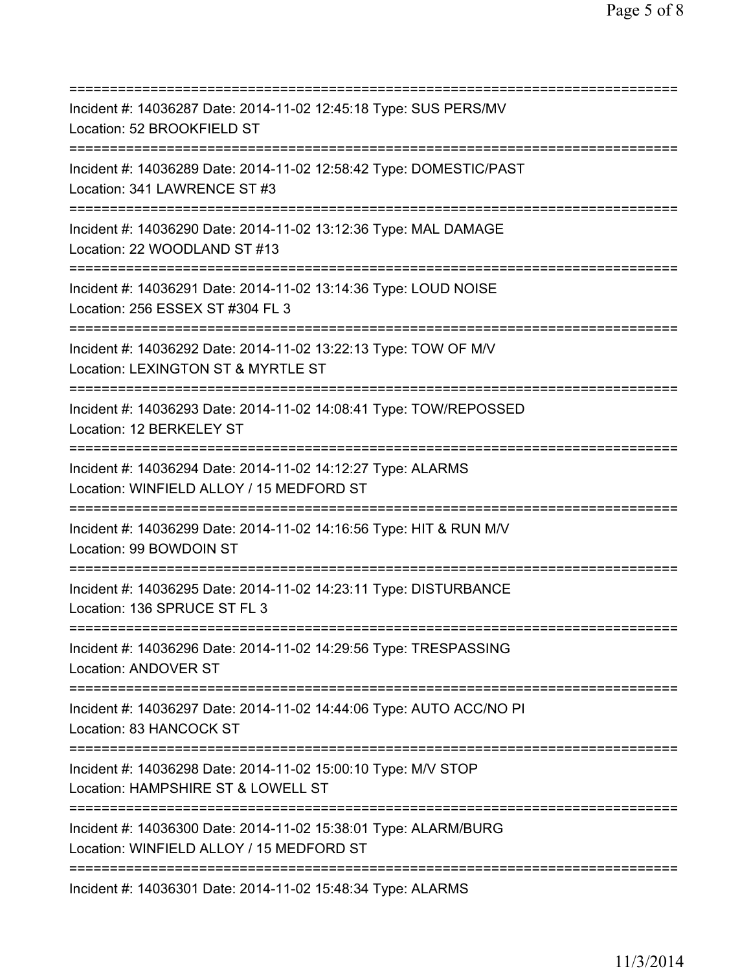| Incident #: 14036287 Date: 2014-11-02 12:45:18 Type: SUS PERS/MV<br>Location: 52 BROOKFIELD ST                                       |
|--------------------------------------------------------------------------------------------------------------------------------------|
| Incident #: 14036289 Date: 2014-11-02 12:58:42 Type: DOMESTIC/PAST<br>Location: 341 LAWRENCE ST #3                                   |
| Incident #: 14036290 Date: 2014-11-02 13:12:36 Type: MAL DAMAGE<br>Location: 22 WOODLAND ST #13<br>=======================           |
| Incident #: 14036291 Date: 2014-11-02 13:14:36 Type: LOUD NOISE<br>Location: 256 ESSEX ST #304 FL 3                                  |
| Incident #: 14036292 Date: 2014-11-02 13:22:13 Type: TOW OF M/V<br>Location: LEXINGTON ST & MYRTLE ST                                |
| Incident #: 14036293 Date: 2014-11-02 14:08:41 Type: TOW/REPOSSED<br>Location: 12 BERKELEY ST<br>.================================== |
| Incident #: 14036294 Date: 2014-11-02 14:12:27 Type: ALARMS<br>Location: WINFIELD ALLOY / 15 MEDFORD ST<br>======================    |
| Incident #: 14036299 Date: 2014-11-02 14:16:56 Type: HIT & RUN M/V<br>Location: 99 BOWDOIN ST                                        |
| Incident #: 14036295 Date: 2014-11-02 14:23:11 Type: DISTURBANCE<br>Location: 136 SPRUCE ST FL 3                                     |
| Incident #: 14036296 Date: 2014-11-02 14:29:56 Type: TRESPASSING<br>Location: ANDOVER ST                                             |
| Incident #: 14036297 Date: 2014-11-02 14:44:06 Type: AUTO ACC/NO PI<br>Location: 83 HANCOCK ST                                       |
| Incident #: 14036298 Date: 2014-11-02 15:00:10 Type: M/V STOP<br>Location: HAMPSHIRE ST & LOWELL ST<br>==================            |
| Incident #: 14036300 Date: 2014-11-02 15:38:01 Type: ALARM/BURG<br>Location: WINFIELD ALLOY / 15 MEDFORD ST                          |
| Incident #: 14036301 Date: 2014-11-02 15:48:34 Type: ALARMS                                                                          |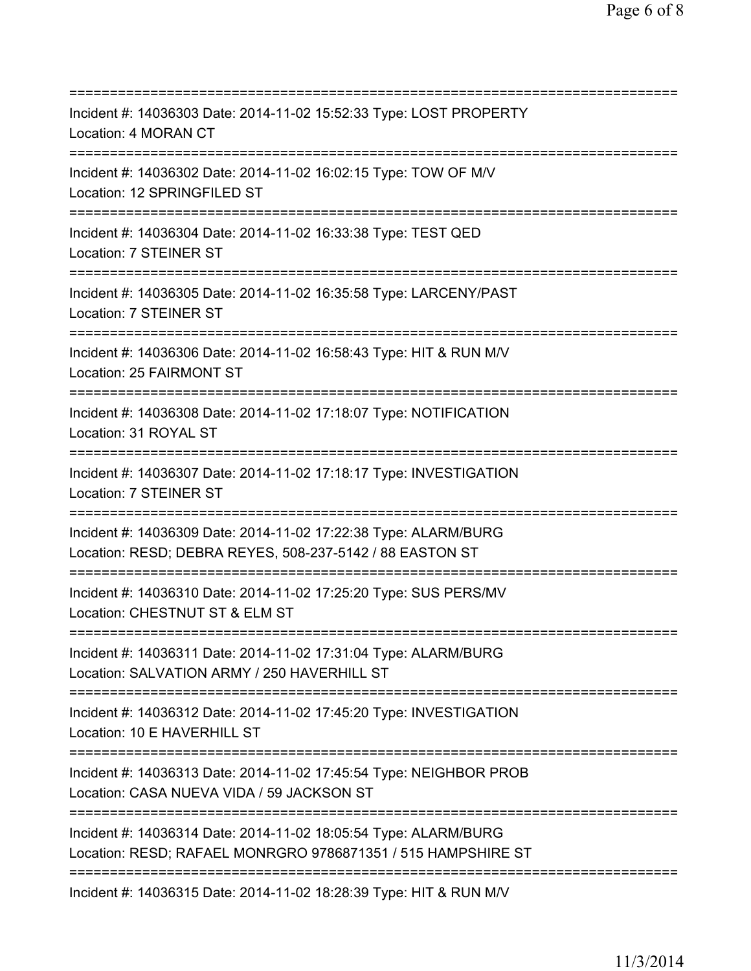=========================================================================== Incident #: 14036303 Date: 2014-11-02 15:52:33 Type: LOST PROPERTY Location: 4 MORAN CT =========================================================================== Incident #: 14036302 Date: 2014-11-02 16:02:15 Type: TOW OF M/V Location: 12 SPRINGFILED ST =========================================================================== Incident #: 14036304 Date: 2014-11-02 16:33:38 Type: TEST QED Location: 7 STEINER ST =========================================================================== Incident #: 14036305 Date: 2014-11-02 16:35:58 Type: LARCENY/PAST Location: 7 STEINER ST =========================================================================== Incident #: 14036306 Date: 2014-11-02 16:58:43 Type: HIT & RUN M/V Location: 25 FAIRMONT ST =========================================================================== Incident #: 14036308 Date: 2014-11-02 17:18:07 Type: NOTIFICATION Location: 31 ROYAL ST =========================================================================== Incident #: 14036307 Date: 2014-11-02 17:18:17 Type: INVESTIGATION Location: 7 STEINER ST =========================================================================== Incident #: 14036309 Date: 2014-11-02 17:22:38 Type: ALARM/BURG Location: RESD; DEBRA REYES, 508-237-5142 / 88 EASTON ST =========================================================================== Incident #: 14036310 Date: 2014-11-02 17:25:20 Type: SUS PERS/MV Location: CHESTNUT ST & ELM ST =========================================================================== Incident #: 14036311 Date: 2014-11-02 17:31:04 Type: ALARM/BURG Location: SALVATION ARMY / 250 HAVERHILL ST =========================================================================== Incident #: 14036312 Date: 2014-11-02 17:45:20 Type: INVESTIGATION Location: 10 E HAVERHILL ST =========================================================================== Incident #: 14036313 Date: 2014-11-02 17:45:54 Type: NEIGHBOR PROB Location: CASA NUEVA VIDA / 59 JACKSON ST =========================================================================== Incident #: 14036314 Date: 2014-11-02 18:05:54 Type: ALARM/BURG Location: RESD; RAFAEL MONRGRO 9786871351 / 515 HAMPSHIRE ST =========================================================================== Incident #: 14036315 Date: 2014-11-02 18:28:39 Type: HIT & RUN M/V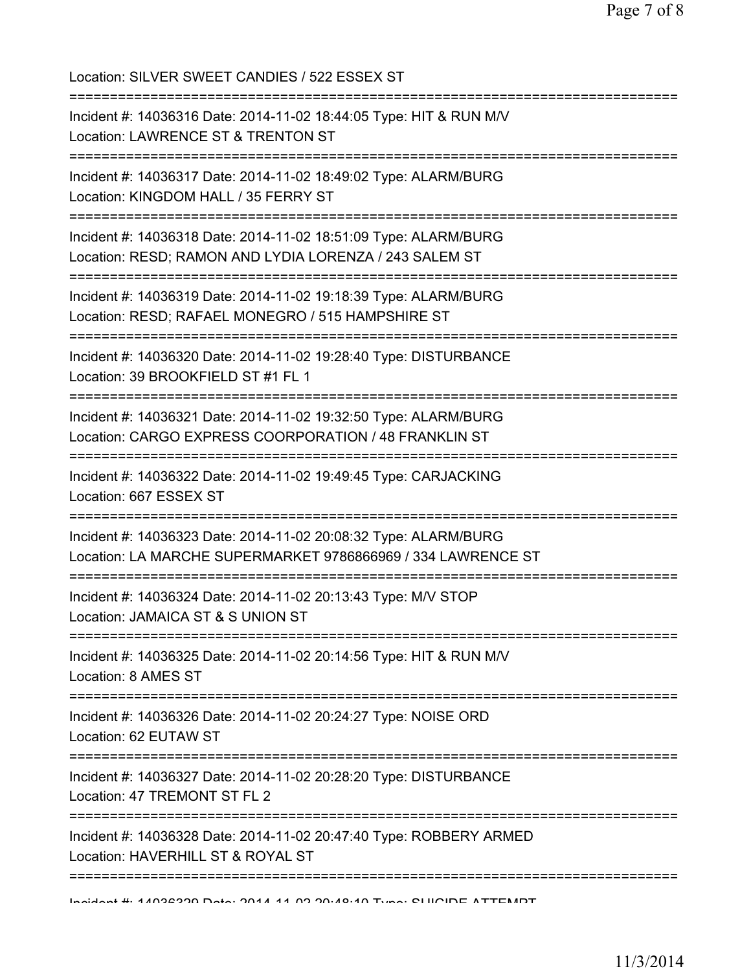| Location: SILVER SWEET CANDIES / 522 ESSEX ST                                                                                                                               |
|-----------------------------------------------------------------------------------------------------------------------------------------------------------------------------|
| Incident #: 14036316 Date: 2014-11-02 18:44:05 Type: HIT & RUN M/V<br>Location: LAWRENCE ST & TRENTON ST                                                                    |
| Incident #: 14036317 Date: 2014-11-02 18:49:02 Type: ALARM/BURG<br>Location: KINGDOM HALL / 35 FERRY ST                                                                     |
| Incident #: 14036318 Date: 2014-11-02 18:51:09 Type: ALARM/BURG<br>Location: RESD; RAMON AND LYDIA LORENZA / 243 SALEM ST                                                   |
| Incident #: 14036319 Date: 2014-11-02 19:18:39 Type: ALARM/BURG<br>Location: RESD; RAFAEL MONEGRO / 515 HAMPSHIRE ST                                                        |
| :================================<br>============================<br>Incident #: 14036320 Date: 2014-11-02 19:28:40 Type: DISTURBANCE<br>Location: 39 BROOKFIELD ST #1 FL 1 |
| Incident #: 14036321 Date: 2014-11-02 19:32:50 Type: ALARM/BURG<br>Location: CARGO EXPRESS COORPORATION / 48 FRANKLIN ST                                                    |
| .----------------------------------<br>Incident #: 14036322 Date: 2014-11-02 19:49:45 Type: CARJACKING<br>Location: 667 ESSEX ST                                            |
| Incident #: 14036323 Date: 2014-11-02 20:08:32 Type: ALARM/BURG<br>Location: LA MARCHE SUPERMARKET 9786866969 / 334 LAWRENCE ST                                             |
| Incident #: 14036324 Date: 2014-11-02 20:13:43 Type: M/V STOP<br>Location: JAMAICA ST & S UNION ST                                                                          |
| Incident #: 14036325 Date: 2014-11-02 20:14:56 Type: HIT & RUN M/V<br>Location: 8 AMES ST                                                                                   |
| Incident #: 14036326 Date: 2014-11-02 20:24:27 Type: NOISE ORD<br>Location: 62 EUTAW ST                                                                                     |
| Incident #: 14036327 Date: 2014-11-02 20:28:20 Type: DISTURBANCE<br>Location: 47 TREMONT ST FL 2                                                                            |
| Incident #: 14036328 Date: 2014-11-02 20:47:40 Type: ROBBERY ARMED<br>Location: HAVERHILL ST & ROYAL ST                                                                     |
| Incident # 44000000 Deta: 0044 44 00 00:40:40 Tune: CHIOIDE ATTEMPT                                                                                                         |